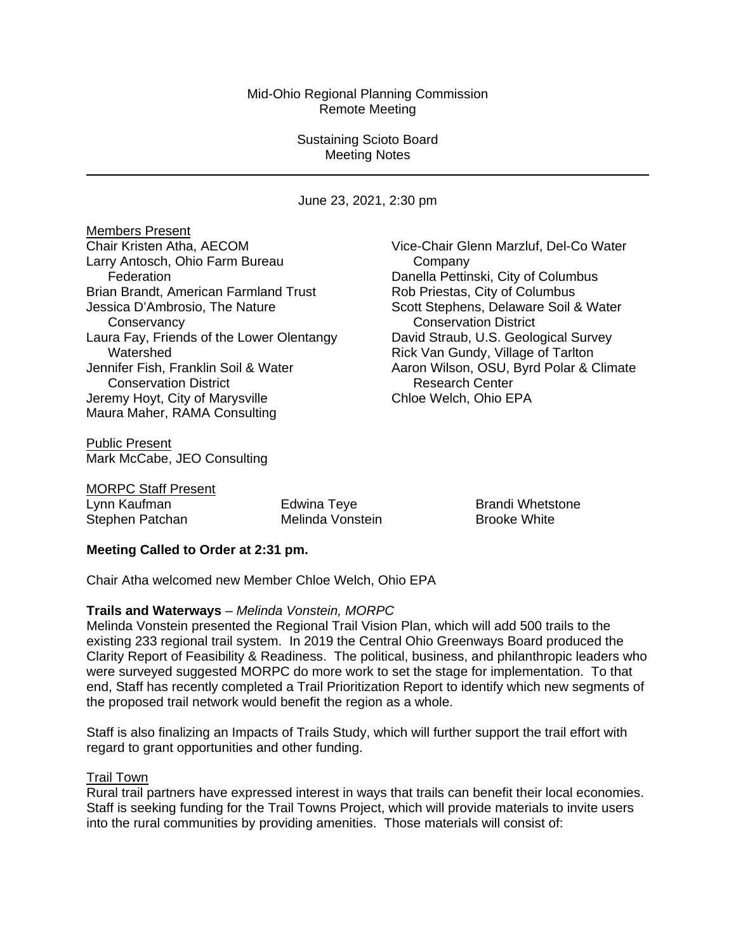## Mid-Ohio Regional Planning Commission Remote Meeting

## Sustaining Scioto Board Meeting Notes

June 23, 2021, 2:30 pm

Members Present Chair Kristen Atha, AECOM Larry Antosch, Ohio Farm Bureau Federation Brian Brandt, American Farmland Trust Jessica D'Ambrosio, The Nature **Conservancy** Laura Fay, Friends of the Lower Olentangy Watershed Jennifer Fish, Franklin Soil & Water Conservation District Jeremy Hoyt, City of Marysville Maura Maher, RAMA Consulting

Public Present Mark McCabe, JEO Consulting Vice-Chair Glenn Marzluf, Del-Co Water **Company** Danella Pettinski, City of Columbus Rob Priestas, City of Columbus Scott Stephens, Delaware Soil & Water Conservation District David Straub, U.S. Geological Survey Rick Van Gundy, Village of Tarlton Aaron Wilson, OSU, Byrd Polar & Climate Research Center Chloe Welch, Ohio EPA

MORPC Staff Present

Lynn Kaufman Edwina Teye Brandi Whetstone Stephen Patchan Melinda Vonstein Brooke White

## **Meeting Called to Order at 2:31 pm.**

Chair Atha welcomed new Member Chloe Welch, Ohio EPA

### **Trails and Waterways** *– Melinda Vonstein, MORPC*

Melinda Vonstein presented the Regional Trail Vision Plan, which will add 500 trails to the existing 233 regional trail system. In 2019 the Central Ohio Greenways Board produced the Clarity Report of Feasibility & Readiness. The political, business, and philanthropic leaders who were surveyed suggested MORPC do more work to set the stage for implementation. To that end, Staff has recently completed a Trail Prioritization Report to identify which new segments of the proposed trail network would benefit the region as a whole.

Staff is also finalizing an Impacts of Trails Study, which will further support the trail effort with regard to grant opportunities and other funding.

### Trail Town

Rural trail partners have expressed interest in ways that trails can benefit their local economies. Staff is seeking funding for the Trail Towns Project, which will provide materials to invite users into the rural communities by providing amenities. Those materials will consist of: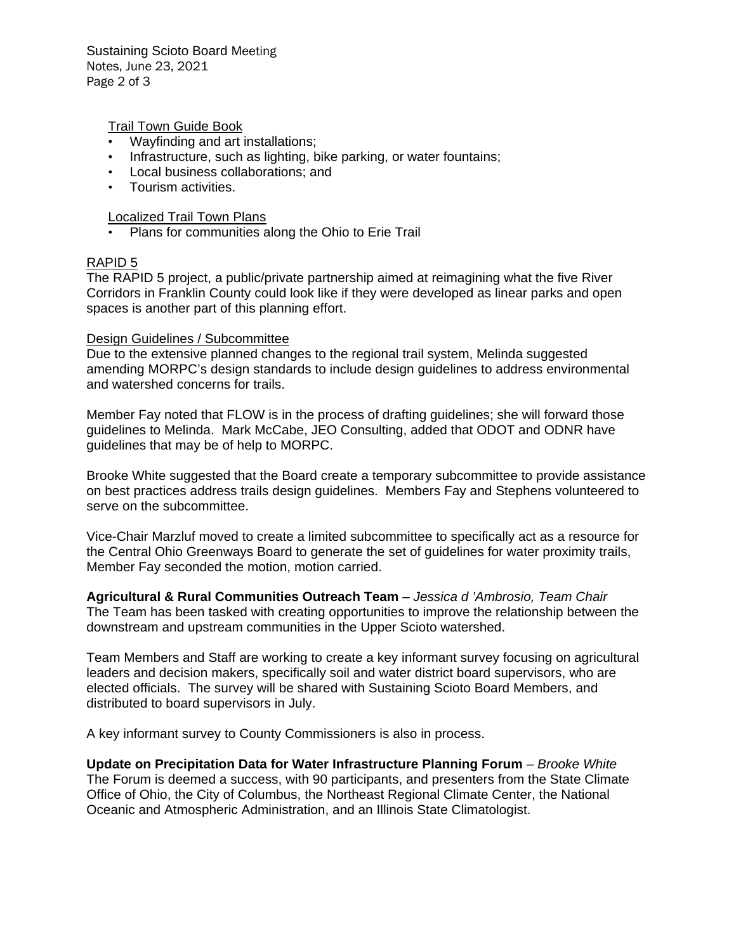Sustaining Scioto Board Meeting Notes, June 23, 2021 Page 2 of 3

Trail Town Guide Book

- Wayfinding and art installations;
- Infrastructure, such as lighting, bike parking, or water fountains;
- Local business collaborations; and
- Tourism activities.

#### Localized Trail Town Plans

• Plans for communities along the Ohio to Erie Trail

### RAPID 5

The RAPID 5 project, a public/private partnership aimed at reimagining what the five River Corridors in Franklin County could look like if they were developed as linear parks and open spaces is another part of this planning effort.

#### Design Guidelines / Subcommittee

Due to the extensive planned changes to the regional trail system, Melinda suggested amending MORPC's design standards to include design guidelines to address environmental and watershed concerns for trails.

Member Fay noted that FLOW is in the process of drafting guidelines; she will forward those guidelines to Melinda. Mark McCabe, JEO Consulting, added that ODOT and ODNR have guidelines that may be of help to MORPC.

Brooke White suggested that the Board create a temporary subcommittee to provide assistance on best practices address trails design guidelines. Members Fay and Stephens volunteered to serve on the subcommittee.

Vice-Chair Marzluf moved to create a limited subcommittee to specifically act as a resource for the Central Ohio Greenways Board to generate the set of guidelines for water proximity trails, Member Fay seconded the motion, motion carried.

**Agricultural & Rural Communities Outreach Team** *– Jessica d 'Ambrosio, Team Chair*  The Team has been tasked with creating opportunities to improve the relationship between the downstream and upstream communities in the Upper Scioto watershed.

Team Members and Staff are working to create a key informant survey focusing on agricultural leaders and decision makers, specifically soil and water district board supervisors, who are elected officials. The survey will be shared with Sustaining Scioto Board Members, and distributed to board supervisors in July.

A key informant survey to County Commissioners is also in process.

**Update on Precipitation Data for Water Infrastructure Planning Forum** *– Brooke White* The Forum is deemed a success, with 90 participants, and presenters from the State Climate Office of Ohio, the City of Columbus, the Northeast Regional Climate Center, the National Oceanic and Atmospheric Administration, and an Illinois State Climatologist.